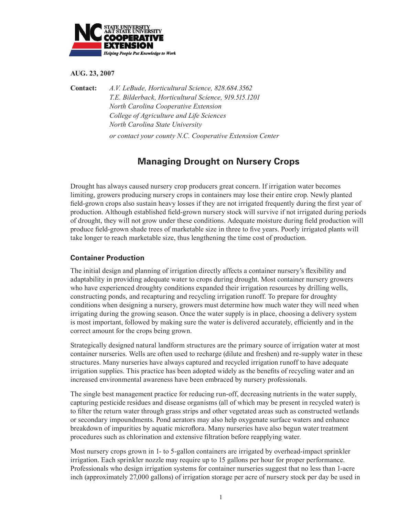

#### **AUG. 23, 2007**

**Contact:** *A.V. LeBude, Horticultural Science, 828.684.3562 T.E. Bilderback, Horticultural Science, 919.515.1201 North Carolina Cooperative Extension College of Agriculture and Life Sciences North Carolina State University or contact your county N.C. Cooperative Extension Center*

# **Managing Drought on Nursery Crops**

Drought has always caused nursery crop producers great concern. If irrigation water becomes limiting, growers producing nursery crops in containers may lose their entire crop. Newly planted field-grown crops also sustain heavy losses if they are not irrigated frequently during the first year of production. Although established field-grown nursery stock will survive if not irrigated during periods of drought, they will not grow under these conditions. Adequate moisture during field production will produce field-grown shade trees of marketable size in three to five years. Poorly irrigated plants will take longer to reach marketable size, thus lengthening the time cost of production.

# **Container Production**

The initial design and planning of irrigation directly affects a container nursery's flexibility and adaptability in providing adequate water to crops during drought. Most container nursery growers who have experienced droughty conditions expanded their irrigation resources by drilling wells, constructing ponds, and recapturing and recycling irrigation runoff. To prepare for droughty conditions when designing a nursery, growers must determine how much water they will need when irrigating during the growing season. Once the water supply is in place, choosing a delivery system is most important, followed by making sure the water is delivered accurately, efficiently and in the correct amount for the crops being grown.

Strategically designed natural landform structures are the primary source of irrigation water at most container nurseries. Wells are often used to recharge (dilute and freshen) and re-supply water in these structures. Many nurseries have always captured and recycled irrigation runoff to have adequate irrigation supplies. This practice has been adopted widely as the benefits of recycling water and an increased environmental awareness have been embraced by nursery professionals.

The single best management practice for reducing run-off, decreasing nutrients in the water supply, capturing pesticide residues and disease organisms (all of which may be present in recycled water) is to filter the return water through grass strips and other vegetated areas such as constructed wetlands or secondary impoundments. Pond aerators may also help oxygenate surface waters and enhance breakdown of impurities by aquatic microflora. Many nurseries have also begun water treatment procedures such as chlorination and extensive filtration before reapplying water.

Most nursery crops grown in 1- to 5-gallon containers are irrigated by overhead-impact sprinkler irrigation. Each sprinkler nozzle may require up to 15 gallons per hour for proper performance. Professionals who design irrigation systems for container nurseries suggest that no less than 1-acre inch (approximately 27,000 gallons) of irrigation storage per acre of nursery stock per day be used in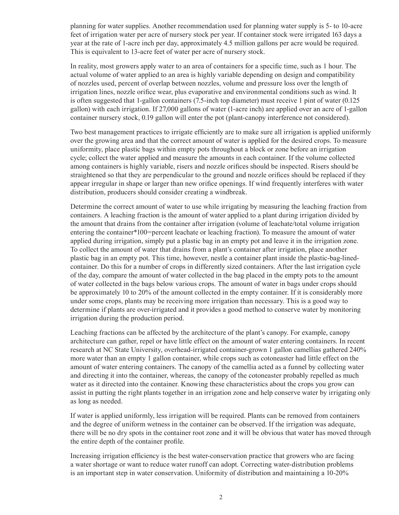planning for water supplies. Another recommendation used for planning water supply is 5- to 10-acre feet of irrigation water per acre of nursery stock per year. If container stock were irrigated 163 days a year at the rate of 1-acre inch per day, approximately 4.5 million gallons per acre would be required. This is equivalent to 13-acre feet of water per acre of nursery stock.

In reality, most growers apply water to an area of containers for a specific time, such as 1 hour. The actual volume of water applied to an area is highly variable depending on design and compatibility of nozzles used, percent of overlap between nozzles, volume and pressure loss over the length of irrigation lines, nozzle orifice wear, plus evaporative and environmental conditions such as wind. It is often suggested that 1-gallon containers (7.5-inch top diameter) must receive 1 pint of water (0.125 gallon) with each irrigation. If 27,000 gallons of water (1-acre inch) are applied over an acre of 1-gallon container nursery stock, 0.19 gallon will enter the pot (plant-canopy interference not considered).

Two best management practices to irrigate efficiently are to make sure all irrigation is applied uniformly over the growing area and that the correct amount of water is applied for the desired crops. To measure uniformity, place plastic bags within empty pots throughout a block or zone before an irrigation cycle; collect the water applied and measure the amounts in each container. If the volume collected among containers is highly variable, risers and nozzle orifices should be inspected. Risers should be straightened so that they are perpendicular to the ground and nozzle orifices should be replaced if they appear irregular in shape or larger than new orifice openings. If wind frequently interferes with water distribution, producers should consider creating a windbreak.

Determine the correct amount of water to use while irrigating by measuring the leaching fraction from containers. A leaching fraction is the amount of water applied to a plant during irrigation divided by the amount that drains from the container after irrigation (volume of leachate/total volume irrigation entering the container\*100=percent leachate or leaching fraction). To measure the amount of water applied during irrigation, simply put a plastic bag in an empty pot and leave it in the irrigation zone. To collect the amount of water that drains from a plant's container after irrigation, place another plastic bag in an empty pot. This time, however, nestle a container plant inside the plastic-bag-linedcontainer. Do this for a number of crops in differently sized containers. After the last irrigation cycle of the day, compare the amount of water collected in the bag placed in the empty pots to the amount of water collected in the bags below various crops. The amount of water in bags under crops should be approximately 10 to 20% of the amount collected in the empty container. If it is considerably more under some crops, plants may be receiving more irrigation than necessary. This is a good way to determine if plants are over-irrigated and it provides a good method to conserve water by monitoring irrigation during the production period.

Leaching fractions can be affected by the architecture of the plant's canopy. For example, canopy architecture can gather, repel or have little effect on the amount of water entering containers. In recent research at NC State University, overhead-irrigated container-grown 1 gallon camellias gathered 240% more water than an empty 1 gallon container, while crops such as cotoneaster had little effect on the amount of water entering containers. The canopy of the camellia acted as a funnel by collecting water and directing it into the container, whereas, the canopy of the cotoneaster probably repelled as much water as it directed into the container. Knowing these characteristics about the crops you grow can assist in putting the right plants together in an irrigation zone and help conserve water by irrigating only as long as needed.

If water is applied uniformly, less irrigation will be required. Plants can be removed from containers and the degree of uniform wetness in the container can be observed. If the irrigation was adequate, there will be no dry spots in the container root zone and it will be obvious that water has moved through the entire depth of the container profile.

Increasing irrigation efficiency is the best water-conservation practice that growers who are facing a water shortage or want to reduce water runoff can adopt. Correcting water-distribution problems is an important step in water conservation. Uniformity of distribution and maintaining a 10-20%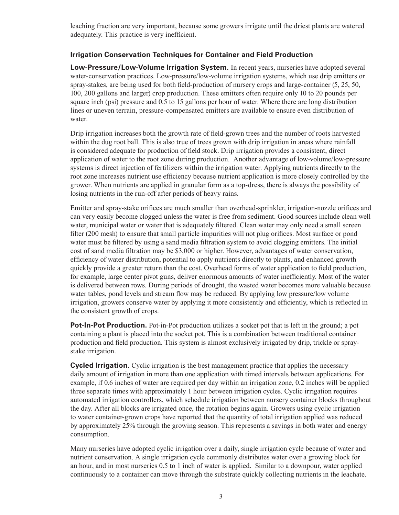leaching fraction are very important, because some growers irrigate until the driest plants are watered adequately. This practice is very inefficient.

# **Irrigation Conservation Techniques for Container and Field Production**

**Low-Pressure/Low-Volume Irrigation System.** In recent years, nurseries have adopted several water-conservation practices. Low-pressure/low-volume irrigation systems, which use drip emitters or spray-stakes, are being used for both field-production of nursery crops and large-container (5, 25, 50, 100, 200 gallons and larger) crop production. These emitters often require only 10 to 20 pounds per square inch (psi) pressure and 0.5 to 15 gallons per hour of water. Where there are long distribution lines or uneven terrain, pressure-compensated emitters are available to ensure even distribution of water.

Drip irrigation increases both the growth rate of field-grown trees and the number of roots harvested within the dug root ball. This is also true of trees grown with drip irrigation in areas where rainfall is considered adequate for production of field stock. Drip irrigation provides a consistent, direct application of water to the root zone during production. Another advantage of low-volume/low-pressure systems is direct injection of fertilizers within the irrigation water. Applying nutrients directly to the root zone increases nutrient use efficiency because nutrient application is more closely controlled by the grower. When nutrients are applied in granular form as a top-dress, there is always the possibility of losing nutrients in the run-off after periods of heavy rains.

Emitter and spray-stake orifices are much smaller than overhead-sprinkler, irrigation-nozzle orifices and can very easily become clogged unless the water is free from sediment. Good sources include clean well water, municipal water or water that is adequately filtered. Clean water may only need a small screen filter (200 mesh) to ensure that small particle impurities will not plug orifices. Most surface or pond water must be filtered by using a sand media filtration system to avoid clogging emitters. The initial cost of sand media filtration may be \$3,000 or higher. However, advantages of water conservation, efficiency of water distribution, potential to apply nutrients directly to plants, and enhanced growth quickly provide a greater return than the cost. Overhead forms of water application to field production, for example, large center pivot guns, deliver enormous amounts of water inefficiently. Most of the water is delivered between rows. During periods of drought, the wasted water becomes more valuable because water tables, pond levels and stream flow may be reduced. By applying low pressure/low volume irrigation, growers conserve water by applying it more consistently and efficiently, which is reflected in the consistent growth of crops.

**Pot-In-Pot Production.** Pot-in-Pot production utilizes a socket pot that is left in the ground; a pot containing a plant is placed into the socket pot. This is a combination between traditional container production and field production. This system is almost exclusively irrigated by drip, trickle or spraystake irrigation.

**Cycled Irrigation.** Cyclic irrigation is the best management practice that applies the necessary daily amount of irrigation in more than one application with timed intervals between applications. For example, if 0.6 inches of water are required per day within an irrigation zone, 0.2 inches will be applied three separate times with approximately 1 hour between irrigation cycles. Cyclic irrigation requires automated irrigation controllers, which schedule irrigation between nursery container blocks throughout the day. After all blocks are irrigated once, the rotation begins again. Growers using cyclic irrigation to water container-grown crops have reported that the quantity of total irrigation applied was reduced by approximately 25% through the growing season. This represents a savings in both water and energy consumption.

Many nurseries have adopted cyclic irrigation over a daily, single irrigation cycle because of water and nutrient conservation. A single irrigation cycle commonly distributes water over a growing block for an hour, and in most nurseries 0.5 to 1 inch of water is applied. Similar to a downpour, water applied continuously to a container can move through the substrate quickly collecting nutrients in the leachate.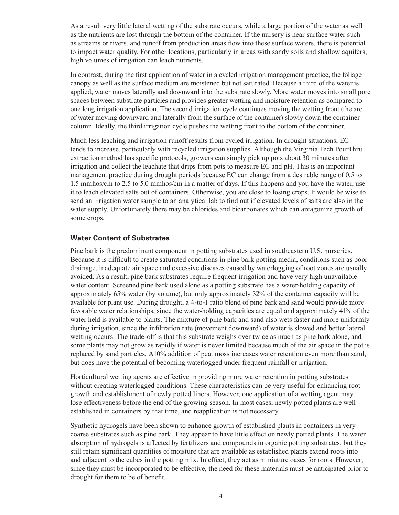As a result very little lateral wetting of the substrate occurs, while a large portion of the water as well as the nutrients are lost through the bottom of the container. If the nursery is near surface water such as streams or rivers, and runoff from production areas flow into these surface waters, there is potential to impact water quality. For other locations, particularly in areas with sandy soils and shallow aquifers, high volumes of irrigation can leach nutrients.

In contrast, during the first application of water in a cycled irrigation management practice, the foliage canopy as well as the surface medium are moistened but not saturated. Because a third of the water is applied, water moves laterally and downward into the substrate slowly. More water moves into small pore spaces between substrate particles and provides greater wetting and moisture retention as compared to one long irrigation application. The second irrigation cycle continues moving the wetting front (the arc of water moving downward and laterally from the surface of the container) slowly down the container column. Ideally, the third irrigation cycle pushes the wetting front to the bottom of the container.

Much less leaching and irrigation runoff results from cycled irrigation. In drought situations, EC tends to increase, particularly with recycled irrigation supplies. Although the Virginia Tech PourThru extraction method has specific protocols, growers can simply pick up pots about 30 minutes after irrigation and collect the leachate that drips from pots to measure EC and pH. This is an important management practice during drought periods because EC can change from a desirable range of 0.5 to 1.5 mmhos/cm to 2.5 to 5.0 mmhos/cm in a matter of days. If this happens and you have the water, use it to leach elevated salts out of containers. Otherwise, you are close to losing crops. It would be wise to send an irrigation water sample to an analytical lab to find out if elevated levels of salts are also in the water supply. Unfortunately there may be chlorides and bicarbonates which can antagonize growth of some crops.

#### **Water Content of Substrates**

Pine bark is the predominant component in potting substrates used in southeastern U.S. nurseries. Because it is difficult to create saturated conditions in pine bark potting media, conditions such as poor drainage, inadequate air space and excessive diseases caused by waterlogging of root zones are usually avoided. As a result, pine bark substrates require frequent irrigation and have very high unavailable water content. Screened pine bark used alone as a potting substrate has a water-holding capacity of approximately 65% water (by volume), but only approximately 32% of the container capacity will be available for plant use. During drought, a 4-to-1 ratio blend of pine bark and sand would provide more favorable water relationships, since the water-holding capacities are equal and approximately 41% of the water held is available to plants. The mixture of pine bark and sand also wets faster and more uniformly during irrigation, since the infiltration rate (movement downward) of water is slowed and better lateral wetting occurs. The trade-off is that this substrate weighs over twice as much as pine bark alone, and some plants may not grow as rapidly if water is never limited because much of the air space in the pot is replaced by sand particles. A10% addition of peat moss increases water retention even more than sand, but does have the potential of becoming waterlogged under frequent rainfall or irrigation.

Horticultural wetting agents are effective in providing more water retention in potting substrates without creating waterlogged conditions. These characteristics can be very useful for enhancing root growth and establishment of newly potted liners. However, one application of a wetting agent may lose effectiveness before the end of the growing season. In most cases, newly potted plants are well established in containers by that time, and reapplication is not necessary.

Synthetic hydrogels have been shown to enhance growth of established plants in containers in very coarse substrates such as pine bark. They appear to have little effect on newly potted plants. The water absorption of hydrogels is affected by fertilizers and compounds in organic potting substrates, but they still retain significant quantities of moisture that are available as established plants extend roots into and adjacent to the cubes in the potting mix. In effect, they act as miniature oases for roots. However, since they must be incorporated to be effective, the need for these materials must be anticipated prior to drought for them to be of benefit.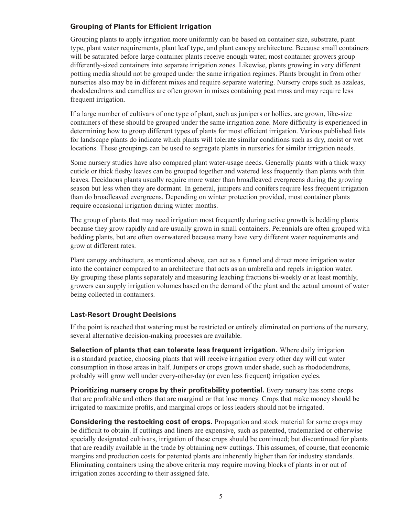# **Grouping of Plants for Efficient Irrigation**

Grouping plants to apply irrigation more uniformly can be based on container size, substrate, plant type, plant water requirements, plant leaf type, and plant canopy architecture. Because small containers will be saturated before large container plants receive enough water, most container growers group differently-sized containers into separate irrigation zones. Likewise, plants growing in very different potting media should not be grouped under the same irrigation regimes. Plants brought in from other nurseries also may be in different mixes and require separate watering. Nursery crops such as azaleas, rhododendrons and camellias are often grown in mixes containing peat moss and may require less frequent irrigation.

If a large number of cultivars of one type of plant, such as junipers or hollies, are grown, like-size containers of these should be grouped under the same irrigation zone. More difficulty is experienced in determining how to group different types of plants for most efficient irrigation. Various published lists for landscape plants do indicate which plants will tolerate similar conditions such as dry, moist or wet locations. These groupings can be used to segregate plants in nurseries for similar irrigation needs.

Some nursery studies have also compared plant water-usage needs. Generally plants with a thick waxy cuticle or thick fleshy leaves can be grouped together and watered less frequently than plants with thin leaves. Deciduous plants usually require more water than broadleaved evergreens during the growing season but less when they are dormant. In general, junipers and conifers require less frequent irrigation than do broadleaved evergreens. Depending on winter protection provided, most container plants require occasional irrigation during winter months.

The group of plants that may need irrigation most frequently during active growth is bedding plants because they grow rapidly and are usually grown in small containers. Perennials are often grouped with bedding plants, but are often overwatered because many have very different water requirements and grow at different rates.

Plant canopy architecture, as mentioned above, can act as a funnel and direct more irrigation water into the container compared to an architecture that acts as an umbrella and repels irrigation water. By grouping these plants separately and measuring leaching fractions bi-weekly or at least monthly, growers can supply irrigation volumes based on the demand of the plant and the actual amount of water being collected in containers.

### **Last-Resort Drought Decisions**

If the point is reached that watering must be restricted or entirely eliminated on portions of the nursery, several alternative decision-making processes are available.

**Selection of plants that can tolerate less frequent irrigation.** Where daily irrigation is a standard practice, choosing plants that will receive irrigation every other day will cut water consumption in those areas in half. Junipers or crops grown under shade, such as rhododendrons, probably will grow well under every-other-day (or even less frequent) irrigation cycles.

**Prioritizing nursery crops by their profitability potential.** Every nursery has some crops that are profitable and others that are marginal or that lose money. Crops that make money should be irrigated to maximize profits, and marginal crops or loss leaders should not be irrigated.

**Considering the restocking cost of crops.** Propagation and stock material for some crops may be difficult to obtain. If cuttings and liners are expensive, such as patented, trademarked or otherwise specially designated cultivars, irrigation of these crops should be continued; but discontinued for plants that are readily available in the trade by obtaining new cuttings. This assumes, of course, that economic margins and production costs for patented plants are inherently higher than for industry standards. Eliminating containers using the above criteria may require moving blocks of plants in or out of irrigation zones according to their assigned fate.